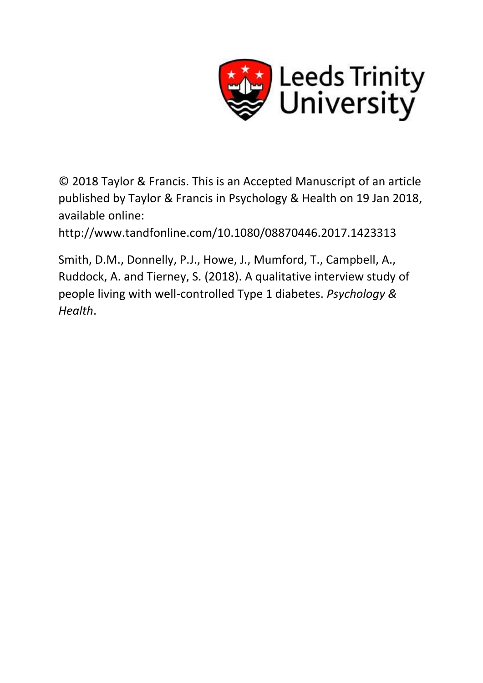

© 2018 Taylor & Francis. This is an Accepted Manuscript of an article published by Taylor & Francis in Psychology & Health on 19 Jan 2018, available online:

http://www.tandfonline.com/10.1080/08870446.2017.1423313

Smith, D.M., Donnelly, P.J., Howe, J., Mumford, T., Campbell, A., Ruddock, A. and Tierney, S. (2018). A qualitative interview study of people living with well-controlled Type 1 diabetes. *Psychology & Health*.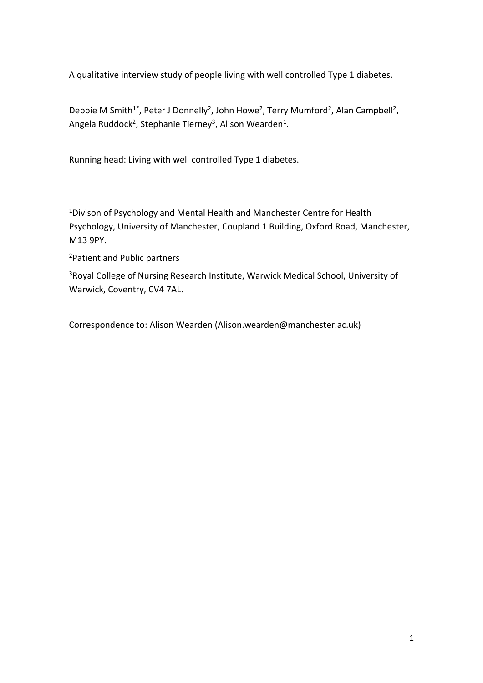A qualitative interview study of people living with well controlled Type 1 diabetes.

Debbie M Smith<sup>1\*</sup>, Peter J Donnelly<sup>2</sup>, John Howe<sup>2</sup>, Terry Mumford<sup>2</sup>, Alan Campbell<sup>2</sup>, Angela Ruddock<sup>2</sup>, Stephanie Tierney<sup>3</sup>, Alison Wearden<sup>1</sup>.

Running head: Living with well controlled Type 1 diabetes.

<sup>1</sup>Divison of Psychology and Mental Health and Manchester Centre for Health Psychology, University of Manchester, Coupland 1 Building, Oxford Road, Manchester, M13 9PY.

<sup>2</sup>Patient and Public partners

<sup>3</sup>Royal College of Nursing Research Institute, Warwick Medical School, University of Warwick, Coventry, CV4 7AL.

Correspondence to: Alison Wearden (Alison.wearden@manchester.ac.uk)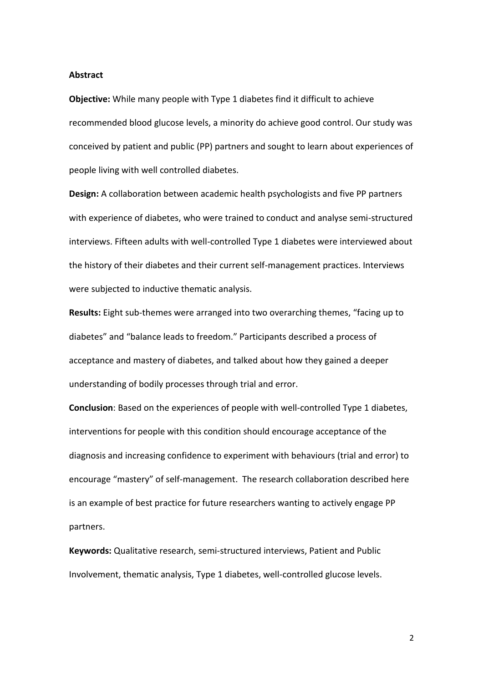#### **Abstract**

**Objective:** While many people with Type 1 diabetes find it difficult to achieve recommended blood glucose levels, a minority do achieve good control. Our study was conceived by patient and public (PP) partners and sought to learn about experiences of people living with well controlled diabetes.

**Design:** A collaboration between academic health psychologists and five PP partners with experience of diabetes, who were trained to conduct and analyse semi-structured interviews. Fifteen adults with well-controlled Type 1 diabetes were interviewed about the history of their diabetes and their current self-management practices. Interviews were subjected to inductive thematic analysis.

**Results:** Eight sub-themes were arranged into two overarching themes, "facing up to diabetes" and "balance leads to freedom." Participants described a process of acceptance and mastery of diabetes, and talked about how they gained a deeper understanding of bodily processes through trial and error.

**Conclusion**: Based on the experiences of people with well-controlled Type 1 diabetes, interventions for people with this condition should encourage acceptance of the diagnosis and increasing confidence to experiment with behaviours (trial and error) to encourage "mastery" of self-management. The research collaboration described here is an example of best practice for future researchers wanting to actively engage PP partners.

**Keywords:** Qualitative research, semi-structured interviews, Patient and Public Involvement, thematic analysis, Type 1 diabetes, well-controlled glucose levels.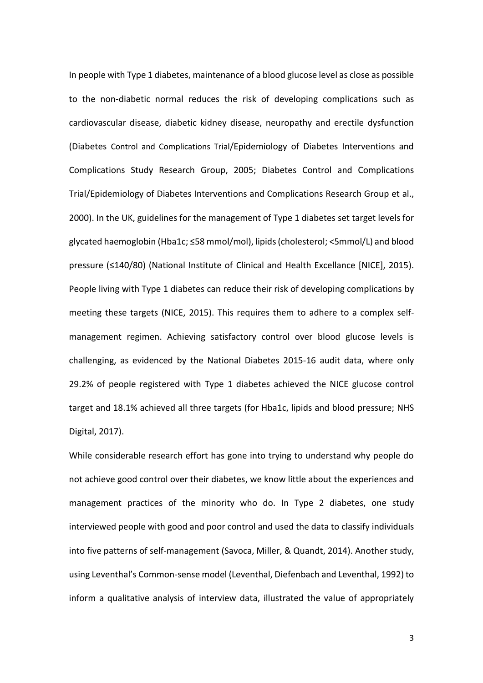In people with Type 1 diabetes, maintenance of a blood glucose level as close as possible to the non-diabetic normal reduces the risk of developing complications such as cardiovascular disease, diabetic kidney disease, neuropathy and erectile dysfunction (Diabetes Control and Complications Trial/Epidemiology of Diabetes Interventions and Complications Study Research Group, 2005; Diabetes Control and Complications Trial/Epidemiology of Diabetes Interventions and Complications Research Group et al., 2000). In the UK, guidelines for the management of Type 1 diabetes set target levels for glycated haemoglobin (Hba1c; ≤58 mmol/mol), lipids (cholesterol; <5mmol/L) and blood pressure (≤140/80) (National Institute of Clinical and Health Excellance [NICE], 2015). People living with Type 1 diabetes can reduce their risk of developing complications by meeting these targets (NICE, 2015). This requires them to adhere to a complex selfmanagement regimen. Achieving satisfactory control over blood glucose levels is challenging, as evidenced by the National Diabetes 2015-16 audit data, where only 29.2% of people registered with Type 1 diabetes achieved the NICE glucose control target and 18.1% achieved all three targets (for Hba1c, lipids and blood pressure; NHS Digital, 2017).

While considerable research effort has gone into trying to understand why people do not achieve good control over their diabetes, we know little about the experiences and management practices of the minority who do. In Type 2 diabetes, one study interviewed people with good and poor control and used the data to classify individuals into five patterns of self-management (Savoca, Miller, & Quandt, 2014). Another study, using Leventhal's Common-sense model (Leventhal, Diefenbach and Leventhal, 1992) to inform a qualitative analysis of interview data, illustrated the value of appropriately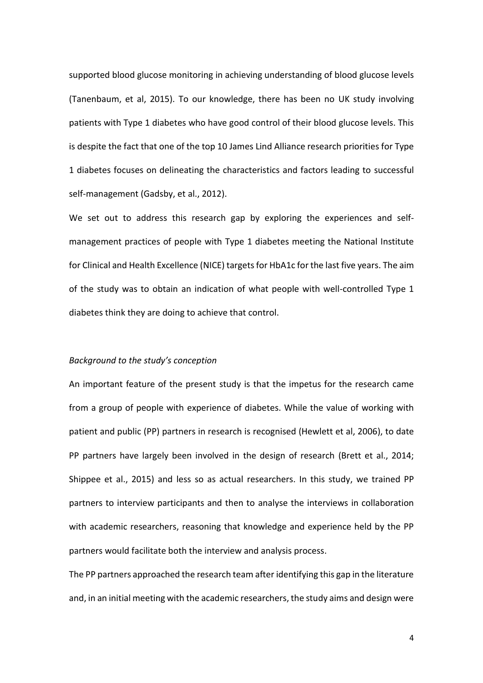supported blood glucose monitoring in achieving understanding of blood glucose levels (Tanenbaum, et al, 2015). To our knowledge, there has been no UK study involving patients with Type 1 diabetes who have good control of their blood glucose levels. This is despite the fact that one of the top 10 James Lind Alliance research priorities for Type 1 diabetes focuses on delineating the characteristics and factors leading to successful self-management (Gadsby, et al., 2012).

We set out to address this research gap by exploring the experiences and selfmanagement practices of people with Type 1 diabetes meeting the National Institute for Clinical and Health Excellence (NICE) targets for HbA1c for the last five years. The aim of the study was to obtain an indication of what people with well-controlled Type 1 diabetes think they are doing to achieve that control.

## *Background to the study's conception*

An important feature of the present study is that the impetus for the research came from a group of people with experience of diabetes. While the value of working with patient and public (PP) partners in research is recognised (Hewlett et al, 2006), to date PP partners have largely been involved in the design of research (Brett et al., 2014; Shippee et al., 2015) and less so as actual researchers. In this study, we trained PP partners to interview participants and then to analyse the interviews in collaboration with academic researchers, reasoning that knowledge and experience held by the PP partners would facilitate both the interview and analysis process.

The PP partners approached the research team after identifying this gap in the literature and, in an initial meeting with the academic researchers, the study aims and design were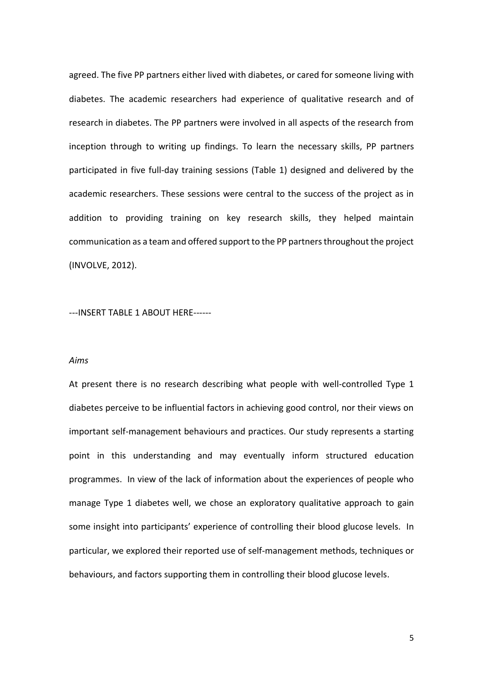agreed. The five PP partners either lived with diabetes, or cared for someone living with diabetes. The academic researchers had experience of qualitative research and of research in diabetes. The PP partners were involved in all aspects of the research from inception through to writing up findings. To learn the necessary skills, PP partners participated in five full-day training sessions (Table 1) designed and delivered by the academic researchers. These sessions were central to the success of the project as in addition to providing training on key research skills, they helped maintain communication as a team and offered support to the PP partners throughout the project (INVOLVE, 2012).

---INSERT TABLE 1 ABOUT HERE------

## *Aims*

At present there is no research describing what people with well-controlled Type 1 diabetes perceive to be influential factors in achieving good control, nor their views on important self-management behaviours and practices. Our study represents a starting point in this understanding and may eventually inform structured education programmes. In view of the lack of information about the experiences of people who manage Type 1 diabetes well, we chose an exploratory qualitative approach to gain some insight into participants' experience of controlling their blood glucose levels. In particular, we explored their reported use of self-management methods, techniques or behaviours, and factors supporting them in controlling their blood glucose levels.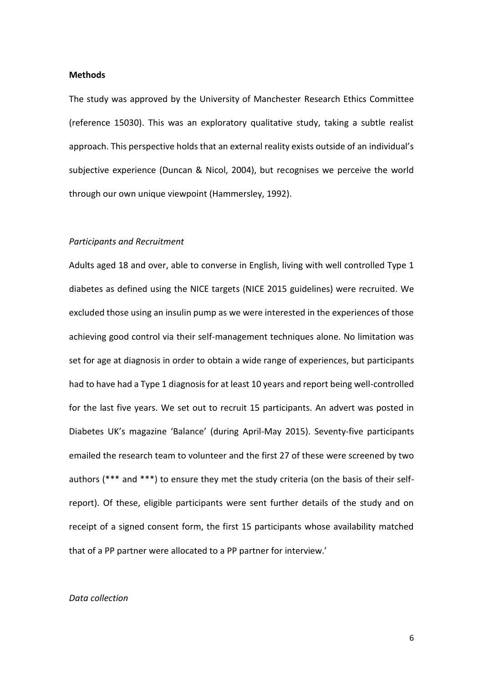#### **Methods**

The study was approved by the University of Manchester Research Ethics Committee (reference 15030). This was an exploratory qualitative study, taking a subtle realist approach. This perspective holds that an external reality exists outside of an individual's subjective experience (Duncan & Nicol, 2004), but recognises we perceive the world through our own unique viewpoint (Hammersley, 1992).

## *Participants and Recruitment*

Adults aged 18 and over, able to converse in English, living with well controlled Type 1 diabetes as defined using the NICE targets (NICE 2015 guidelines) were recruited. We excluded those using an insulin pump as we were interested in the experiences of those achieving good control via their self-management techniques alone. No limitation was set for age at diagnosis in order to obtain a wide range of experiences, but participants had to have had a Type 1 diagnosis for at least 10 years and report being well-controlled for the last five years. We set out to recruit 15 participants. An advert was posted in Diabetes UK's magazine 'Balance' (during April-May 2015). Seventy-five participants emailed the research team to volunteer and the first 27 of these were screened by two authors (\*\*\* and \*\*\*) to ensure they met the study criteria (on the basis of their selfreport). Of these, eligible participants were sent further details of the study and on receipt of a signed consent form, the first 15 participants whose availability matched that of a PP partner were allocated to a PP partner for interview.'

#### *Data collection*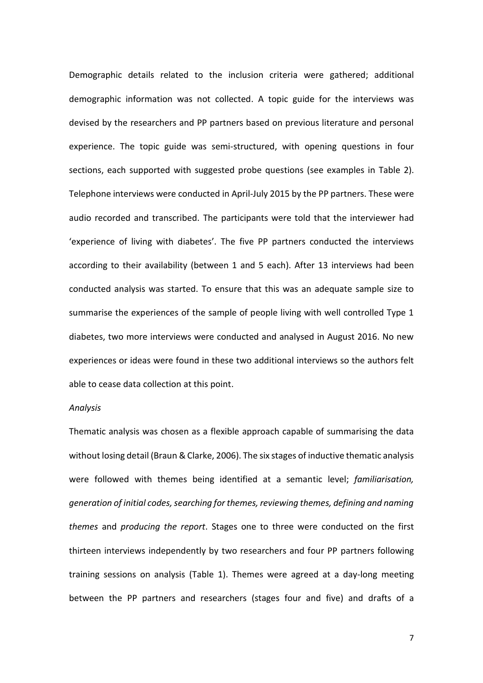Demographic details related to the inclusion criteria were gathered; additional demographic information was not collected. A topic guide for the interviews was devised by the researchers and PP partners based on previous literature and personal experience. The topic guide was semi-structured, with opening questions in four sections, each supported with suggested probe questions (see examples in Table 2). Telephone interviews were conducted in April-July 2015 by the PP partners. These were audio recorded and transcribed. The participants were told that the interviewer had 'experience of living with diabetes'. The five PP partners conducted the interviews according to their availability (between 1 and 5 each). After 13 interviews had been conducted analysis was started. To ensure that this was an adequate sample size to summarise the experiences of the sample of people living with well controlled Type 1 diabetes, two more interviews were conducted and analysed in August 2016. No new experiences or ideas were found in these two additional interviews so the authors felt able to cease data collection at this point.

## *Analysis*

Thematic analysis was chosen as a flexible approach capable of summarising the data without losing detail (Braun & Clarke, 2006). The six stages of inductive thematic analysis were followed with themes being identified at a semantic level; *familiarisation, generation of initial codes, searching for themes, reviewing themes, defining and naming themes* and *producing the report*. Stages one to three were conducted on the first thirteen interviews independently by two researchers and four PP partners following training sessions on analysis (Table 1). Themes were agreed at a day-long meeting between the PP partners and researchers (stages four and five) and drafts of a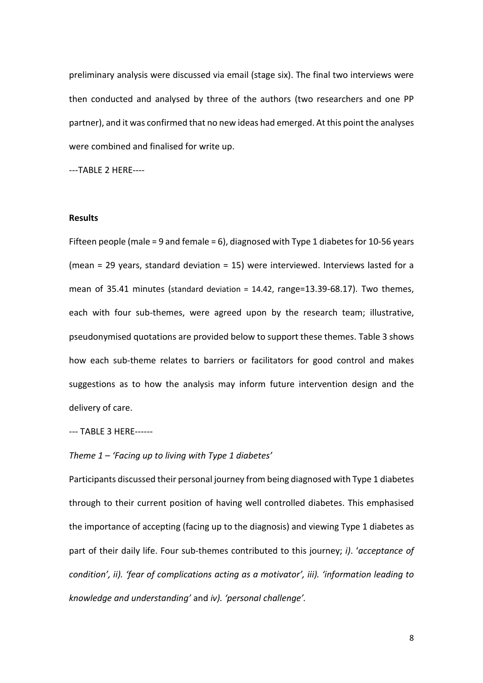preliminary analysis were discussed via email (stage six). The final two interviews were then conducted and analysed by three of the authors (two researchers and one PP partner), and it was confirmed that no new ideas had emerged. At this point the analyses were combined and finalised for write up.

---TABLE 2 HERE----

## **Results**

Fifteen people (male = 9 and female = 6), diagnosed with Type 1 diabetes for 10-56 years (mean = 29 years, standard deviation = 15) were interviewed. Interviews lasted for a mean of 35.41 minutes (standard deviation = 14.42, range=13.39-68.17). Two themes, each with four sub-themes, were agreed upon by the research team; illustrative, pseudonymised quotations are provided below to support these themes. Table 3 shows how each sub-theme relates to barriers or facilitators for good control and makes suggestions as to how the analysis may inform future intervention design and the delivery of care.

--- TABLE 3 HERE------

*Theme 1 – 'Facing up to living with Type 1 diabetes'*

Participants discussed their personal journey from being diagnosed with Type 1 diabetes through to their current position of having well controlled diabetes. This emphasised the importance of accepting (facing up to the diagnosis) and viewing Type 1 diabetes as part of their daily life. Four sub-themes contributed to this journey; *i)*. '*acceptance of condition', ii). 'fear of complications acting as a motivator', iii). 'information leading to knowledge and understanding'* and *iv). 'personal challenge'.*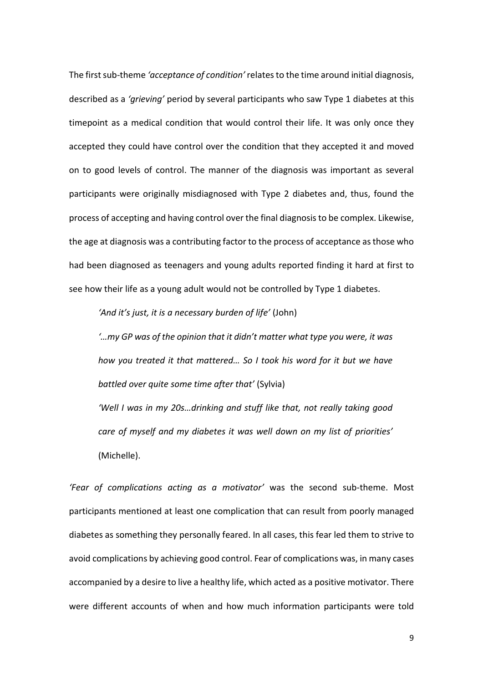The first sub-theme *'acceptance of condition'* relates to the time around initial diagnosis, described as a *'grieving'* period by several participants who saw Type 1 diabetes at this timepoint as a medical condition that would control their life. It was only once they accepted they could have control over the condition that they accepted it and moved on to good levels of control. The manner of the diagnosis was important as several participants were originally misdiagnosed with Type 2 diabetes and, thus, found the process of accepting and having control over the final diagnosis to be complex. Likewise, the age at diagnosis was a contributing factor to the process of acceptance as those who had been diagnosed as teenagers and young adults reported finding it hard at first to see how their life as a young adult would not be controlled by Type 1 diabetes.

*'And it's just, it is a necessary burden of life'* (John)

*'…my GP was of the opinion that it didn't matter what type you were, it was how you treated it that mattered… So I took his word for it but we have battled over quite some time after that'* (Sylvia) *'Well I was in my 20s…drinking and stuff like that, not really taking good care of myself and my diabetes it was well down on my list of priorities'* (Michelle).

*'Fear of complications acting as a motivator'* was the second sub-theme. Most participants mentioned at least one complication that can result from poorly managed diabetes as something they personally feared. In all cases, this fear led them to strive to avoid complications by achieving good control. Fear of complications was, in many cases accompanied by a desire to live a healthy life, which acted as a positive motivator. There were different accounts of when and how much information participants were told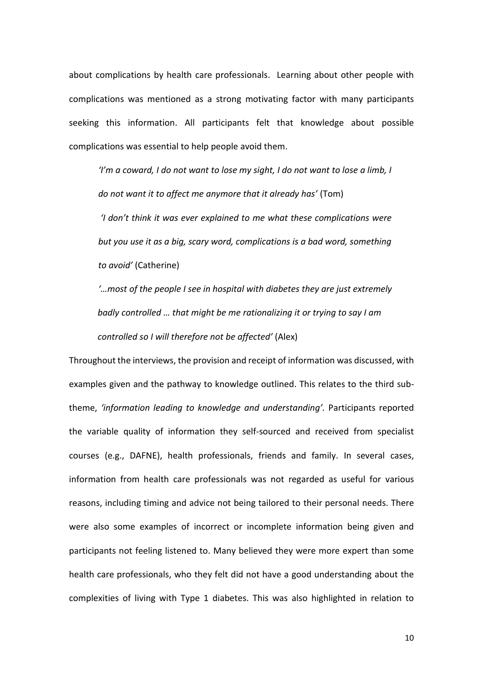about complications by health care professionals. Learning about other people with complications was mentioned as a strong motivating factor with many participants seeking this information. All participants felt that knowledge about possible complications was essential to help people avoid them.

*'I'm a coward, I do not want to lose my sight, I do not want to lose a limb, I do not want it to affect me anymore that it already has'* (Tom) *'I don't think it was ever explained to me what these complications were but you use it as a big, scary word, complications is a bad word, something to avoid'* (Catherine)

*'…most of the people I see in hospital with diabetes they are just extremely badly controlled … that might be me rationalizing it or trying to say I am controlled so I will therefore not be affected'* (Alex)

Throughout the interviews, the provision and receipt of information was discussed, with examples given and the pathway to knowledge outlined. This relates to the third subtheme, *'information leading to knowledge and understanding'.* Participants reported the variable quality of information they self-sourced and received from specialist courses (e.g., DAFNE), health professionals, friends and family. In several cases, information from health care professionals was not regarded as useful for various reasons, including timing and advice not being tailored to their personal needs. There were also some examples of incorrect or incomplete information being given and participants not feeling listened to. Many believed they were more expert than some health care professionals, who they felt did not have a good understanding about the complexities of living with Type 1 diabetes. This was also highlighted in relation to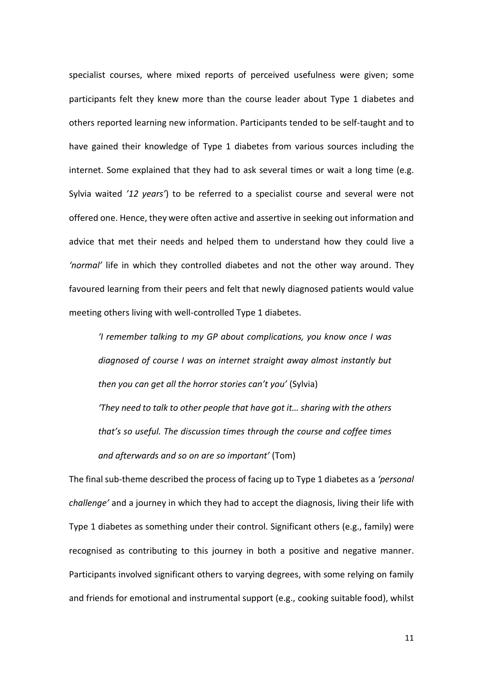specialist courses, where mixed reports of perceived usefulness were given; some participants felt they knew more than the course leader about Type 1 diabetes and others reported learning new information. Participants tended to be self-taught and to have gained their knowledge of Type 1 diabetes from various sources including the internet. Some explained that they had to ask several times or wait a long time (e.g. Sylvia waited *'12 years'*) to be referred to a specialist course and several were not offered one. Hence, they were often active and assertive in seeking out information and advice that met their needs and helped them to understand how they could live a *'normal'* life in which they controlled diabetes and not the other way around. They favoured learning from their peers and felt that newly diagnosed patients would value meeting others living with well-controlled Type 1 diabetes.

*'I remember talking to my GP about complications, you know once I was diagnosed of course I was on internet straight away almost instantly but then you can get all the horror stories can't you'* (Sylvia) *'They need to talk to other people that have got it… sharing with the others that's so useful. The discussion times through the course and coffee times and afterwards and so on are so important'* (Tom)

The final sub-theme described the process of facing up to Type 1 diabetes as a *'personal challenge'* and a journey in which they had to accept the diagnosis, living their life with Type 1 diabetes as something under their control. Significant others (e.g., family) were recognised as contributing to this journey in both a positive and negative manner. Participants involved significant others to varying degrees, with some relying on family and friends for emotional and instrumental support (e.g., cooking suitable food), whilst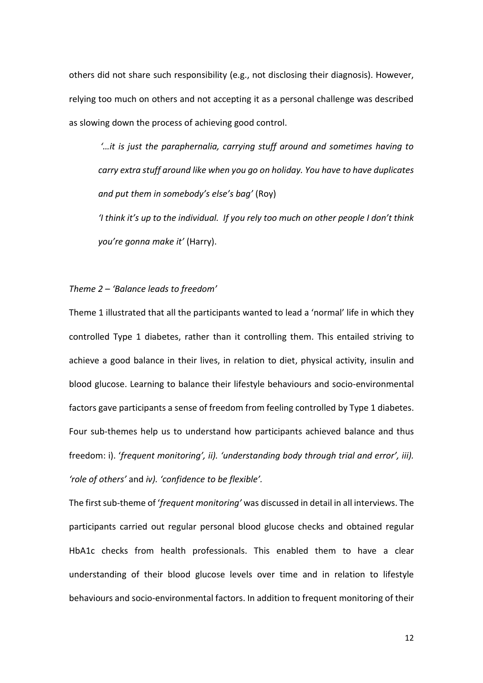others did not share such responsibility (e.g., not disclosing their diagnosis). However, relying too much on others and not accepting it as a personal challenge was described as slowing down the process of achieving good control.

*'…it is just the paraphernalia, carrying stuff around and sometimes having to carry extra stuff around like when you go on holiday. You have to have duplicates and put them in somebody's else's bag'* (Roy) *'I think it's up to the individual. If you rely too much on other people I don't think you're gonna make it'* (Harry).

### *Theme 2 – 'Balance leads to freedom'*

Theme 1 illustrated that all the participants wanted to lead a 'normal' life in which they controlled Type 1 diabetes, rather than it controlling them. This entailed striving to achieve a good balance in their lives, in relation to diet, physical activity, insulin and blood glucose. Learning to balance their lifestyle behaviours and socio-environmental factors gave participants a sense of freedom from feeling controlled by Type 1 diabetes. Four sub-themes help us to understand how participants achieved balance and thus freedom: i). '*frequent monitoring', ii). 'understanding body through trial and error', iii). 'role of others'* and *iv). 'confidence to be flexible'.*

The first sub-theme of '*frequent monitoring'* was discussed in detail in all interviews. The participants carried out regular personal blood glucose checks and obtained regular HbA1c checks from health professionals. This enabled them to have a clear understanding of their blood glucose levels over time and in relation to lifestyle behaviours and socio-environmental factors. In addition to frequent monitoring of their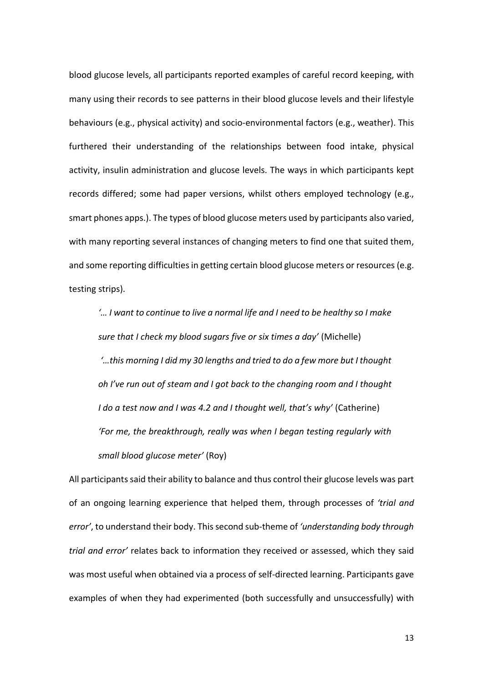blood glucose levels, all participants reported examples of careful record keeping, with many using their records to see patterns in their blood glucose levels and their lifestyle behaviours (e.g., physical activity) and socio-environmental factors (e.g., weather). This furthered their understanding of the relationships between food intake, physical activity, insulin administration and glucose levels. The ways in which participants kept records differed; some had paper versions, whilst others employed technology (e.g., smart phones apps.). The types of blood glucose meters used by participants also varied, with many reporting several instances of changing meters to find one that suited them, and some reporting difficulties in getting certain blood glucose meters or resources (e.g. testing strips).

*'… I want to continue to live a normal life and I need to be healthy so I make sure that I check my blood sugars five or six times a day'* (Michelle) *'…this morning I did my 30 lengths and tried to do a few more but I thought oh I've run out of steam and I got back to the changing room and I thought I do a test now and I was 4.2 and I thought well, that's why'* (Catherine) *'For me, the breakthrough, really was when I began testing regularly with small blood glucose meter'* (Roy)

All participants said their ability to balance and thus control their glucose levels was part of an ongoing learning experience that helped them, through processes of *'trial and error'*, to understand their body. Thissecond sub-theme of *'understanding body through trial and error'* relates back to information they received or assessed, which they said was most useful when obtained via a process of self-directed learning. Participants gave examples of when they had experimented (both successfully and unsuccessfully) with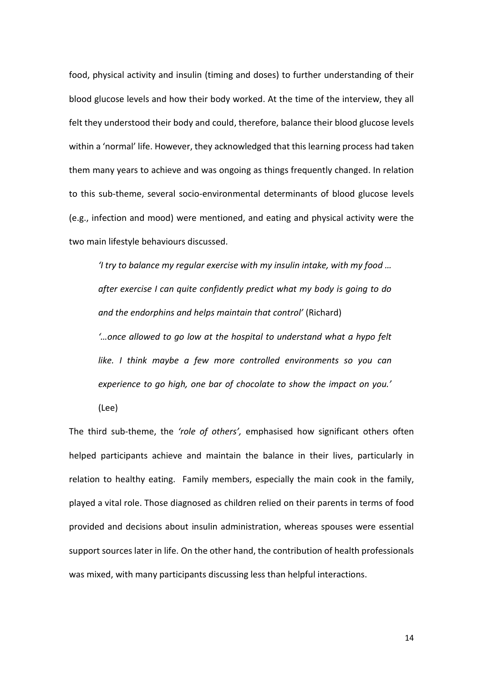food, physical activity and insulin (timing and doses) to further understanding of their blood glucose levels and how their body worked. At the time of the interview, they all felt they understood their body and could, therefore, balance their blood glucose levels within a 'normal' life. However, they acknowledged that this learning process had taken them many years to achieve and was ongoing as things frequently changed. In relation to this sub-theme, several socio-environmental determinants of blood glucose levels (e.g., infection and mood) were mentioned, and eating and physical activity were the two main lifestyle behaviours discussed.

*'I try to balance my regular exercise with my insulin intake, with my food … after exercise I can quite confidently predict what my body is going to do and the endorphins and helps maintain that control'* (Richard) *'…once allowed to go low at the hospital to understand what a hypo felt like. I think maybe a few more controlled environments so you can experience to go high, one bar of chocolate to show the impact on you.'*

(Lee)

The third sub-theme, the *'role of others',* emphasised how significant others often helped participants achieve and maintain the balance in their lives, particularly in relation to healthy eating. Family members, especially the main cook in the family, played a vital role. Those diagnosed as children relied on their parents in terms of food provided and decisions about insulin administration, whereas spouses were essential support sources later in life. On the other hand, the contribution of health professionals was mixed, with many participants discussing less than helpful interactions.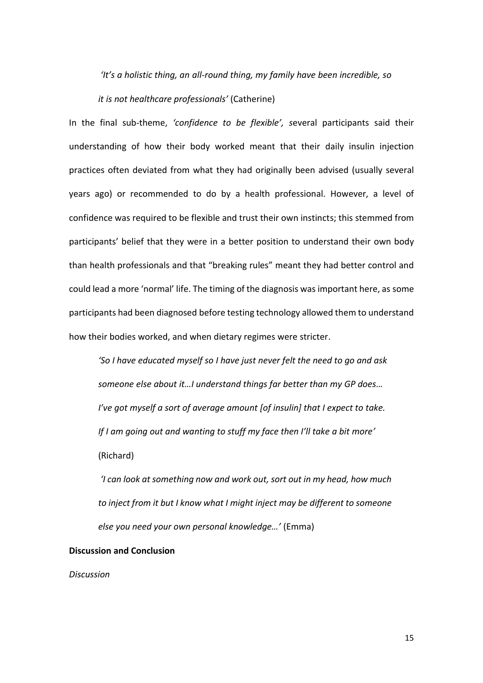*'It's a holistic thing, an all-round thing, my family have been incredible, so* 

*it is not healthcare professionals'* (Catherine)

In the final sub-theme, *'confidence to be flexible', s*everal participants said their understanding of how their body worked meant that their daily insulin injection practices often deviated from what they had originally been advised (usually several years ago) or recommended to do by a health professional. However, a level of confidence was required to be flexible and trust their own instincts; this stemmed from participants' belief that they were in a better position to understand their own body than health professionals and that "breaking rules" meant they had better control and could lead a more 'normal' life. The timing of the diagnosis was important here, as some participants had been diagnosed before testing technology allowed them to understand how their bodies worked, and when dietary regimes were stricter.

*'So I have educated myself so I have just never felt the need to go and ask someone else about it…I understand things far better than my GP does… I've got myself a sort of average amount [of insulin] that I expect to take. If I am going out and wanting to stuff my face then I'll take a bit more'* (Richard)

*'I can look at something now and work out, sort out in my head, how much to inject from it but I know what I might inject may be different to someone else you need your own personal knowledge…'* (Emma)

# **Discussion and Conclusion**

*Discussion*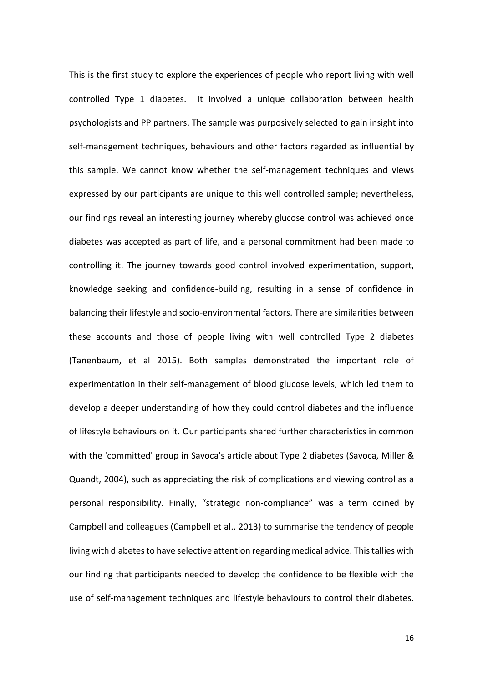This is the first study to explore the experiences of people who report living with well controlled Type 1 diabetes. It involved a unique collaboration between health psychologists and PP partners. The sample was purposively selected to gain insight into self-management techniques, behaviours and other factors regarded as influential by this sample. We cannot know whether the self-management techniques and views expressed by our participants are unique to this well controlled sample; nevertheless, our findings reveal an interesting journey whereby glucose control was achieved once diabetes was accepted as part of life, and a personal commitment had been made to controlling it. The journey towards good control involved experimentation, support, knowledge seeking and confidence-building, resulting in a sense of confidence in balancing their lifestyle and socio-environmental factors. There are similarities between these accounts and those of people living with well controlled Type 2 diabetes (Tanenbaum, et al 2015). Both samples demonstrated the important role of experimentation in their self-management of blood glucose levels, which led them to develop a deeper understanding of how they could control diabetes and the influence of lifestyle behaviours on it. Our participants shared further characteristics in common with the 'committed' group in Savoca's article about Type 2 diabetes (Savoca, Miller & Quandt, 2004), such as appreciating the risk of complications and viewing control as a personal responsibility. Finally, "strategic non-compliance" was a term coined by Campbell and colleagues (Campbell et al., 2013) to summarise the tendency of people living with diabetes to have selective attention regarding medical advice. This tallies with our finding that participants needed to develop the confidence to be flexible with the use of self-management techniques and lifestyle behaviours to control their diabetes.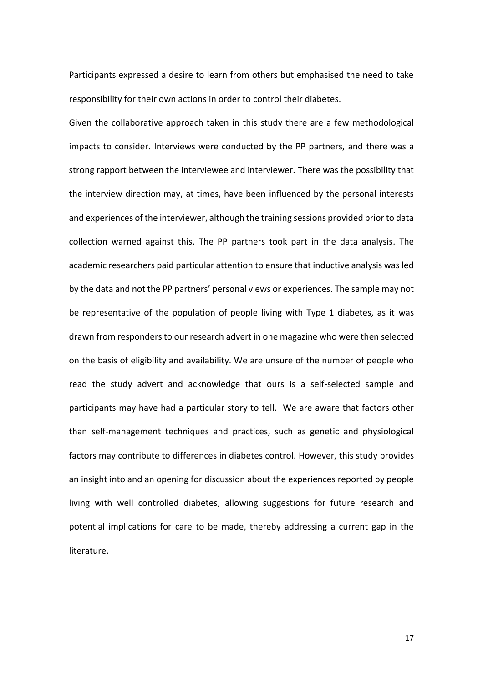Participants expressed a desire to learn from others but emphasised the need to take responsibility for their own actions in order to control their diabetes.

Given the collaborative approach taken in this study there are a few methodological impacts to consider. Interviews were conducted by the PP partners, and there was a strong rapport between the interviewee and interviewer. There was the possibility that the interview direction may, at times, have been influenced by the personal interests and experiences of the interviewer, although the training sessions provided prior to data collection warned against this. The PP partners took part in the data analysis. The academic researchers paid particular attention to ensure that inductive analysis was led by the data and not the PP partners' personal views or experiences. The sample may not be representative of the population of people living with Type 1 diabetes, as it was drawn from responders to our research advert in one magazine who were then selected on the basis of eligibility and availability. We are unsure of the number of people who read the study advert and acknowledge that ours is a self-selected sample and participants may have had a particular story to tell. We are aware that factors other than self-management techniques and practices, such as genetic and physiological factors may contribute to differences in diabetes control. However, this study provides an insight into and an opening for discussion about the experiences reported by people living with well controlled diabetes, allowing suggestions for future research and potential implications for care to be made, thereby addressing a current gap in the literature.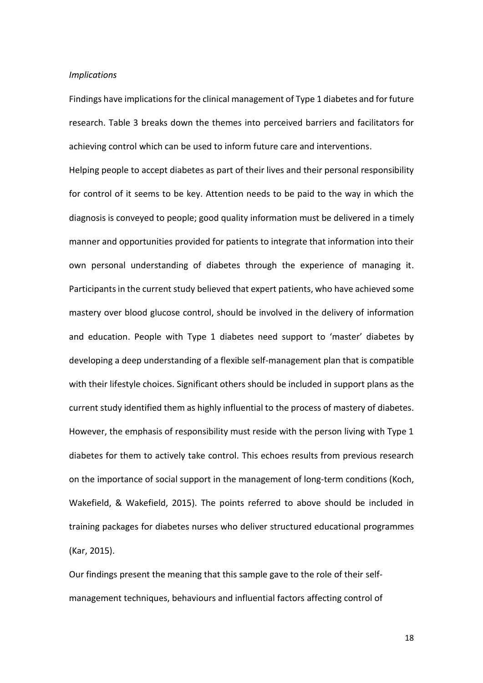#### *Implications*

Findings have implications for the clinical management of Type 1 diabetes and for future research. Table 3 breaks down the themes into perceived barriers and facilitators for achieving control which can be used to inform future care and interventions.

Helping people to accept diabetes as part of their lives and their personal responsibility for control of it seems to be key. Attention needs to be paid to the way in which the diagnosis is conveyed to people; good quality information must be delivered in a timely manner and opportunities provided for patients to integrate that information into their own personal understanding of diabetes through the experience of managing it. Participants in the current study believed that expert patients, who have achieved some mastery over blood glucose control, should be involved in the delivery of information and education. People with Type 1 diabetes need support to 'master' diabetes by developing a deep understanding of a flexible self-management plan that is compatible with their lifestyle choices. Significant others should be included in support plans as the current study identified them as highly influential to the process of mastery of diabetes. However, the emphasis of responsibility must reside with the person living with Type 1 diabetes for them to actively take control. This echoes results from previous research on the importance of social support in the management of long-term conditions (Koch, Wakefield, & Wakefield, 2015). The points referred to above should be included in training packages for diabetes nurses who deliver structured educational programmes (Kar, 2015).

Our findings present the meaning that this sample gave to the role of their selfmanagement techniques, behaviours and influential factors affecting control of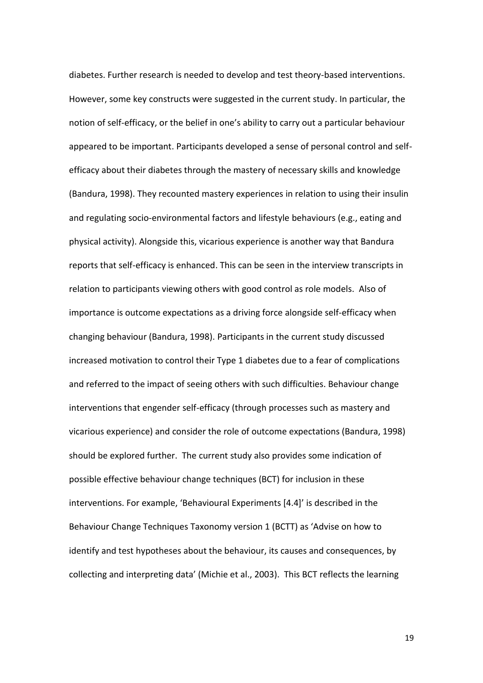diabetes. Further research is needed to develop and test theory-based interventions. However, some key constructs were suggested in the current study. In particular, the notion of self-efficacy, or the belief in one's ability to carry out a particular behaviour appeared to be important. Participants developed a sense of personal control and selfefficacy about their diabetes through the mastery of necessary skills and knowledge (Bandura, 1998). They recounted mastery experiences in relation to using their insulin and regulating socio-environmental factors and lifestyle behaviours (e.g., eating and physical activity). Alongside this, vicarious experience is another way that Bandura reports that self-efficacy is enhanced. This can be seen in the interview transcripts in relation to participants viewing others with good control as role models. Also of importance is outcome expectations as a driving force alongside self-efficacy when changing behaviour (Bandura, 1998). Participants in the current study discussed increased motivation to control their Type 1 diabetes due to a fear of complications and referred to the impact of seeing others with such difficulties. Behaviour change interventions that engender self-efficacy (through processes such as mastery and vicarious experience) and consider the role of outcome expectations (Bandura, 1998) should be explored further. The current study also provides some indication of possible effective behaviour change techniques (BCT) for inclusion in these interventions. For example, 'Behavioural Experiments [4.4]' is described in the Behaviour Change Techniques Taxonomy version 1 (BCTT) as 'Advise on how to identify and test hypotheses about the behaviour, its causes and consequences, by collecting and interpreting data' (Michie et al., 2003). This BCT reflects the learning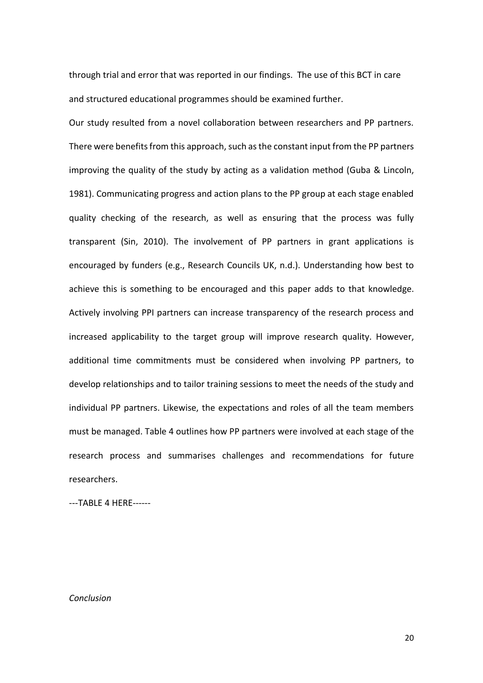through trial and error that was reported in our findings. The use of this BCT in care and structured educational programmes should be examined further.

Our study resulted from a novel collaboration between researchers and PP partners. There were benefits from this approach, such asthe constant input from the PP partners improving the quality of the study by acting as a validation method (Guba & Lincoln, 1981). Communicating progress and action plans to the PP group at each stage enabled quality checking of the research, as well as ensuring that the process was fully transparent (Sin, 2010). The involvement of PP partners in grant applications is encouraged by funders (e.g., Research Councils UK, n.d.). Understanding how best to achieve this is something to be encouraged and this paper adds to that knowledge. Actively involving PPI partners can increase transparency of the research process and increased applicability to the target group will improve research quality. However, additional time commitments must be considered when involving PP partners, to develop relationships and to tailor training sessions to meet the needs of the study and individual PP partners. Likewise, the expectations and roles of all the team members must be managed. Table 4 outlines how PP partners were involved at each stage of the research process and summarises challenges and recommendations for future researchers.

---TABLE 4 HERE------

*Conclusion*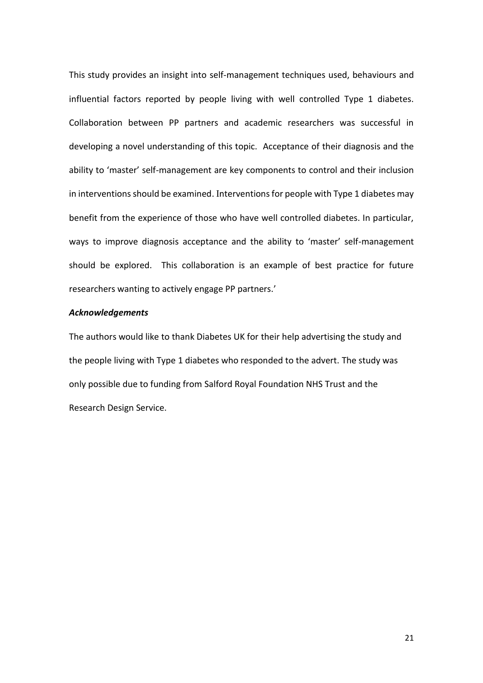This study provides an insight into self-management techniques used, behaviours and influential factors reported by people living with well controlled Type 1 diabetes. Collaboration between PP partners and academic researchers was successful in developing a novel understanding of this topic. Acceptance of their diagnosis and the ability to 'master' self-management are key components to control and their inclusion in interventions should be examined. Interventions for people with Type 1 diabetes may benefit from the experience of those who have well controlled diabetes. In particular, ways to improve diagnosis acceptance and the ability to 'master' self-management should be explored. This collaboration is an example of best practice for future researchers wanting to actively engage PP partners.'

## *Acknowledgements*

The authors would like to thank Diabetes UK for their help advertising the study and the people living with Type 1 diabetes who responded to the advert. The study was only possible due to funding from Salford Royal Foundation NHS Trust and the Research Design Service.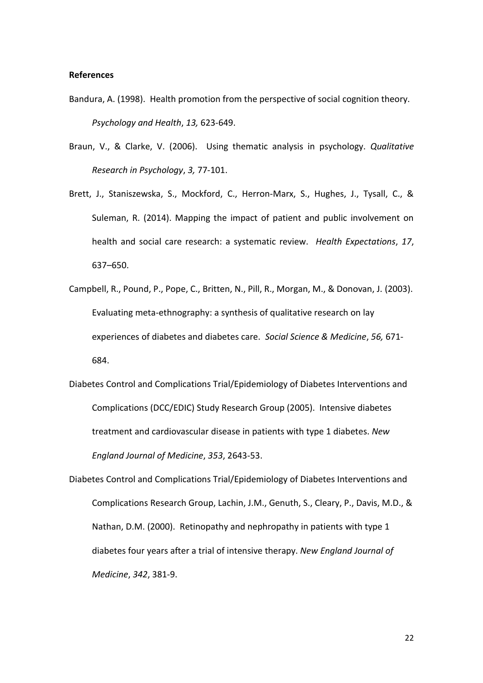## **References**

- Bandura, A. (1998). Health promotion from the perspective of social cognition theory. *Psychology and Health*, *13,* 623-649.
- Braun, V., & Clarke, V. (2006). Using thematic analysis in psychology. *Qualitative Research in Psychology*, *3,* 77-101.
- Brett, J., Staniszewska, S., Mockford, C., Herron-Marx, S., Hughes, J., Tysall, C., & Suleman, R. (2014). Mapping the impact of patient and public involvement on health and social care research: a systematic review. *Health Expectations*, *17*, 637–650.
- Campbell, R., Pound, P., Pope, C., Britten, N., Pill, R., Morgan, M., & Donovan, J. (2003). Evaluating meta-ethnography: a synthesis of qualitative research on lay experiences of diabetes and diabetes care. *Social Science & Medicine*, *56,* 671- 684.
- Diabetes Control and Complications Trial/Epidemiology of Diabetes Interventions and Complications (DCC/EDIC) Study Research Group (2005). Intensive diabetes treatment and cardiovascular disease in patients with type 1 diabetes. *New England Journal of Medicine*, *353*, 2643-53.
- Diabetes Control and Complications Trial/Epidemiology of Diabetes Interventions and Complications Research Group, [Lachin,](https://www.ncbi.nlm.nih.gov/pubmed/?term=Lachin%20JM%5BAuthor%5D&cauthor=true&cauthor_uid=10666428) J.M., [Genuth,](https://www.ncbi.nlm.nih.gov/pubmed/?term=Genuth%20S%5BAuthor%5D&cauthor=true&cauthor_uid=10666428) S., Cleary, P., [Davis,](https://www.ncbi.nlm.nih.gov/pubmed/?term=Davis%20MD%5BAuthor%5D&cauthor=true&cauthor_uid=10666428) M.D., & [Nathan,](https://www.ncbi.nlm.nih.gov/pubmed/?term=Nathan%20DM%5BAuthor%5D&cauthor=true&cauthor_uid=10666428) D.M. (2000). Retinopathy and nephropathy in patients with type 1 diabetes four years after a trial of intensive therapy. *New England Journal of Medicine*, *342*, 381-9.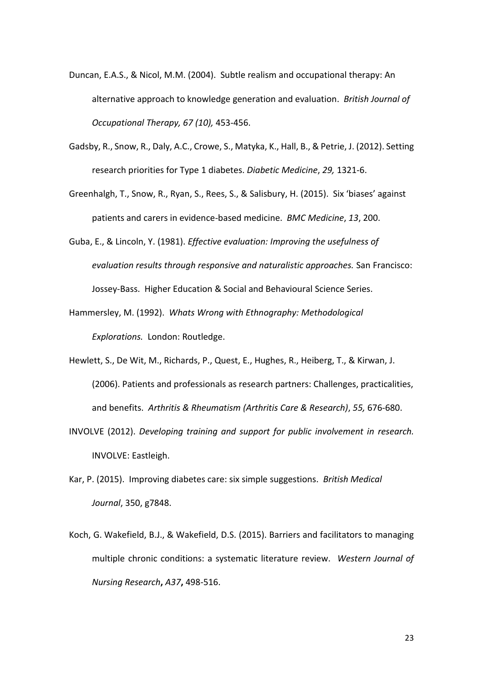- Duncan, E.A.S., & Nicol, M.M. (2004). Subtle realism and occupational therapy: An alternative approach to knowledge generation and evaluation. *British Journal of Occupational Therapy, 67 (10),* 453-456.
- Gadsby, R., Snow, R., Daly, A.C., Crowe, S., Matyka, K., Hall, B., & Petrie, J. (2012). Setting research priorities for Type 1 diabetes. *Diabetic Medicine*, *29,* 1321-6.
- Greenhalgh, T., Snow, R., Ryan, S., Rees, S., & Salisbury, H. (2015). Six 'biases' against patients and carers in evidence-based medicine. *BMC Medicine*, *13*, 200.
- Guba, E., & Lincoln, Y. (1981). *Effective evaluation: Improving the usefulness of evaluation results through responsive and naturalistic approaches.* San Francisco: Jossey-Bass.Higher Education & Social and Behavioural Science Series.
- Hammersley, M. (1992). *Whats Wrong with Ethnography: Methodological Explorations.* London: Routledge.
- Hewlett, S., De Wit, M., Richards, P., Quest, E., Hughes, R., Heiberg, T., & Kirwan, J. (2006). Patients and professionals as research partners: Challenges, practicalities, and benefits. *Arthritis & Rheumatism (Arthritis Care & Research)*, *55,* 676-680.
- INVOLVE (2012). *Developing training and support for public involvement in research.*  INVOLVE: Eastleigh.
- Kar, P. (2015). Improving diabetes care: six simple suggestions. *British Medical Journal*, 350, g7848.
- Koch, G. Wakefield, B.J., & Wakefield, D.S. (2015). Barriers and facilitators to managing multiple chronic conditions: a systematic literature review. *Western Journal of Nursing Research***,** *A37***,** 498-516.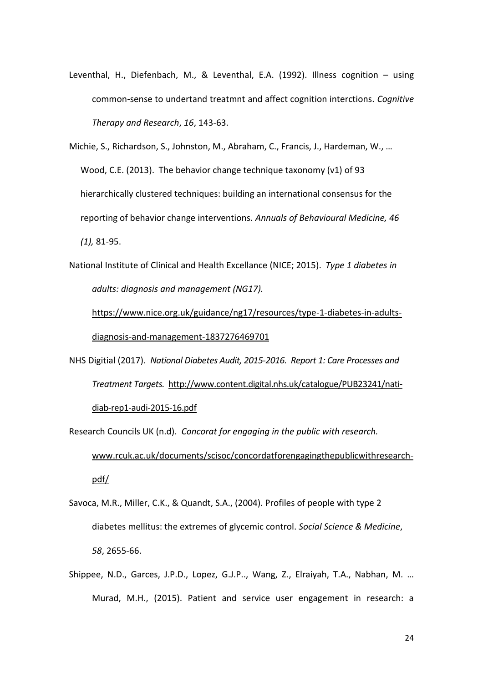Leventhal, H., Diefenbach, M., & Leventhal, E.A. (1992). Illness cognition – using common-sense to undertand treatmnt and affect cognition interctions. *Cognitive Therapy and Research*, *16*, 143-63.

Michie, S., Richardson, S., Johnston, M., Abraham, C., Francis, J., Hardeman, W., … Wood, C.E. (2013). The behavior change technique taxonomy (v1) of 93 hierarchically clustered techniques: building an international consensus for the reporting of behavior change interventions. *Annuals of Behavioural Medicine, 46 (1),* 81-95.

National Institute of Clinical and Health Excellance (NICE; 2015). *Type 1 diabetes in adults: diagnosis and management (NG17).*

[https://www.nice.org.uk/guidance/ng17/resources/type-1-diabetes-in-adults](https://www.nice.org.uk/guidance/ng17/resources/type-1-diabetes-in-adults-diagnosis-and-management-1837276469701)[diagnosis-and-management-1837276469701](https://www.nice.org.uk/guidance/ng17/resources/type-1-diabetes-in-adults-diagnosis-and-management-1837276469701)

- NHS Digitial (2017). *National Diabetes Audit, 2015-2016. Report 1: Care Processes and Treatment Targets.* [http://www.content.digital.nhs.uk/catalogue/PUB23241/nati](http://www.content.digital.nhs.uk/catalogue/PUB23241/nati-diab-rep1-audi-2015-16.pdf)[diab-rep1-audi-2015-16.pdf](http://www.content.digital.nhs.uk/catalogue/PUB23241/nati-diab-rep1-audi-2015-16.pdf)
- Research Councils UK (n.d). *Concorat for engaging in the public with research.*  [www.rcuk.ac.uk/documents/scisoc/concordatforengagingthepublicwithresearch](http://www.rcuk.ac.uk/documents/scisoc/concordatforengagingthepublicwithresearch-pdf/)[pdf/](http://www.rcuk.ac.uk/documents/scisoc/concordatforengagingthepublicwithresearch-pdf/)
- Savoca, M.R., Miller, C.K., & Quandt, S.A., (2004). Profiles of people with type 2 diabetes mellitus: the extremes of glycemic control. *Social Science & Medicine*, *58*, 2655-66.
- Shippee, N.D., Garces, J.P.D., Lopez, G.J.P.., Wang, Z., Elraiyah, T.A., Nabhan, M. … Murad, M.H., (2015). Patient and service user engagement in research: a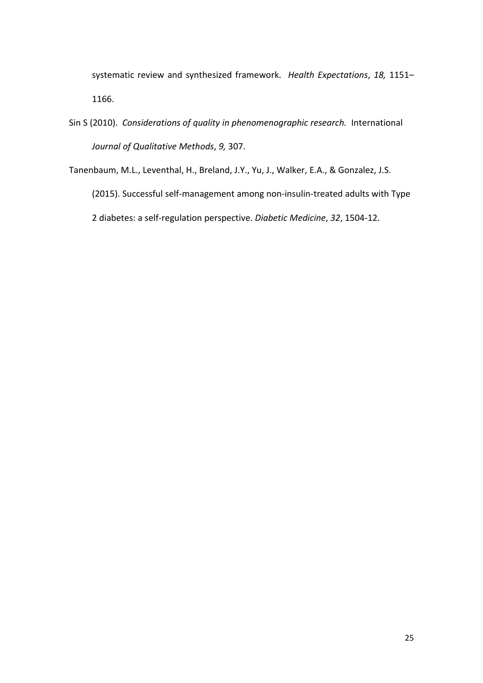systematic review and synthesized framework. *Health Expectations*, *18,* 1151– 1166.

Sin S (2010). *Considerations of quality in phenomenographic research.* International *Journal of Qualitative Methods*, *9,* 307.

Tanenbaum, M.L., Leventhal, H., Breland, J.Y., Yu, J., Walker, E.A., & Gonzalez, J.S. (2015). Successful self-management among non-insulin-treated adults with Type 2 diabetes: a self-regulation perspective. *Diabetic Medicine*, *32*, 1504-12.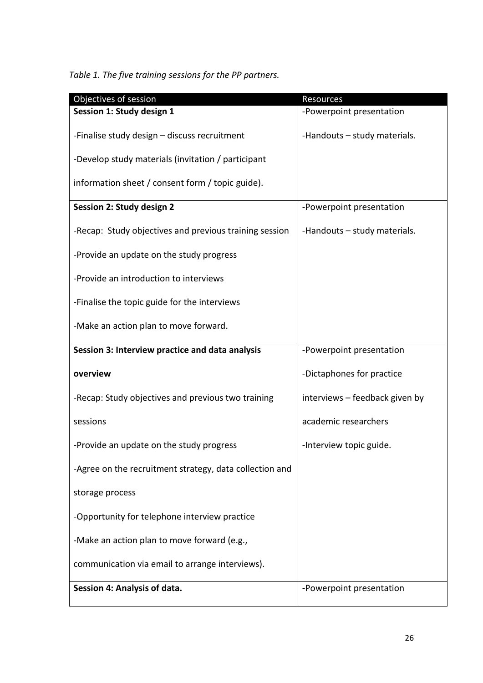*Table 1. The five training sessions for the PP partners.*

| Objectives of session                                   | Resources                      |
|---------------------------------------------------------|--------------------------------|
| Session 1: Study design 1                               | -Powerpoint presentation       |
| -Finalise study design - discuss recruitment            | -Handouts - study materials.   |
| -Develop study materials (invitation / participant      |                                |
| information sheet / consent form / topic guide).        |                                |
| Session 2: Study design 2                               | -Powerpoint presentation       |
| -Recap: Study objectives and previous training session  | -Handouts - study materials.   |
| -Provide an update on the study progress                |                                |
| -Provide an introduction to interviews                  |                                |
| -Finalise the topic guide for the interviews            |                                |
| -Make an action plan to move forward.                   |                                |
| Session 3: Interview practice and data analysis         | -Powerpoint presentation       |
| overview                                                | -Dictaphones for practice      |
| -Recap: Study objectives and previous two training      | interviews - feedback given by |
| sessions                                                | academic researchers           |
| -Provide an update on the study progress                | -Interview topic guide.        |
| -Agree on the recruitment strategy, data collection and |                                |
| storage process                                         |                                |
| -Opportunity for telephone interview practice           |                                |
| -Make an action plan to move forward (e.g.,             |                                |
| communication via email to arrange interviews).         |                                |
| Session 4: Analysis of data.                            | -Powerpoint presentation       |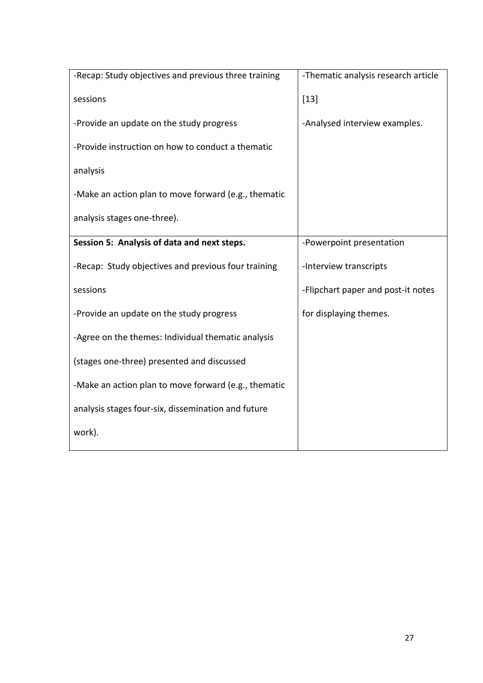| -Recap: Study objectives and previous three training | -Thematic analysis research article |
|------------------------------------------------------|-------------------------------------|
| sessions                                             | $[13]$                              |
| -Provide an update on the study progress             | -Analysed interview examples.       |
| -Provide instruction on how to conduct a thematic    |                                     |
| analysis                                             |                                     |
| -Make an action plan to move forward (e.g., thematic |                                     |
| analysis stages one-three).                          |                                     |
| Session 5: Analysis of data and next steps.          | -Powerpoint presentation            |
| -Recap: Study objectives and previous four training  | -Interview transcripts              |
| sessions                                             | -Flipchart paper and post-it notes  |
| -Provide an update on the study progress             | for displaying themes.              |
| -Agree on the themes: Individual thematic analysis   |                                     |
| (stages one-three) presented and discussed           |                                     |
| -Make an action plan to move forward (e.g., thematic |                                     |
| analysis stages four-six, dissemination and future   |                                     |
| work).                                               |                                     |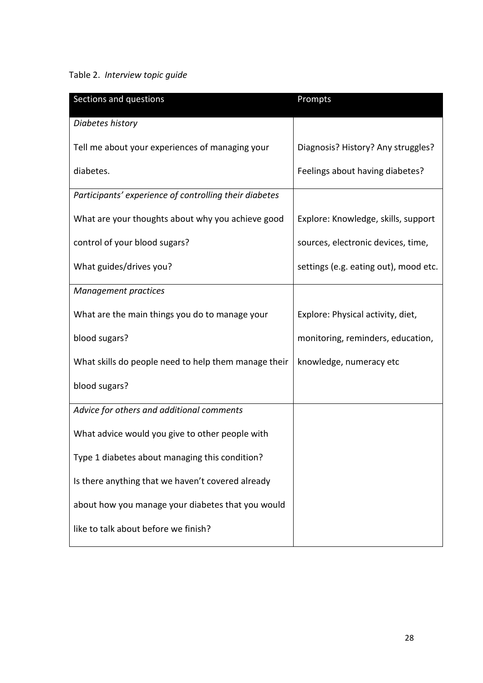# Table 2. *Interview topic guide*

| Sections and questions                                 | Prompts                               |
|--------------------------------------------------------|---------------------------------------|
| Diabetes history                                       |                                       |
| Tell me about your experiences of managing your        | Diagnosis? History? Any struggles?    |
| diabetes.                                              | Feelings about having diabetes?       |
| Participants' experience of controlling their diabetes |                                       |
| What are your thoughts about why you achieve good      | Explore: Knowledge, skills, support   |
| control of your blood sugars?                          | sources, electronic devices, time,    |
| What guides/drives you?                                | settings (e.g. eating out), mood etc. |
| <b>Management practices</b>                            |                                       |
| What are the main things you do to manage your         | Explore: Physical activity, diet,     |
| blood sugars?                                          | monitoring, reminders, education,     |
| What skills do people need to help them manage their   | knowledge, numeracy etc               |
| blood sugars?                                          |                                       |
| Advice for others and additional comments              |                                       |
| What advice would you give to other people with        |                                       |
| Type 1 diabetes about managing this condition?         |                                       |
| Is there anything that we haven't covered already      |                                       |
| about how you manage your diabetes that you would      |                                       |
| like to talk about before we finish?                   |                                       |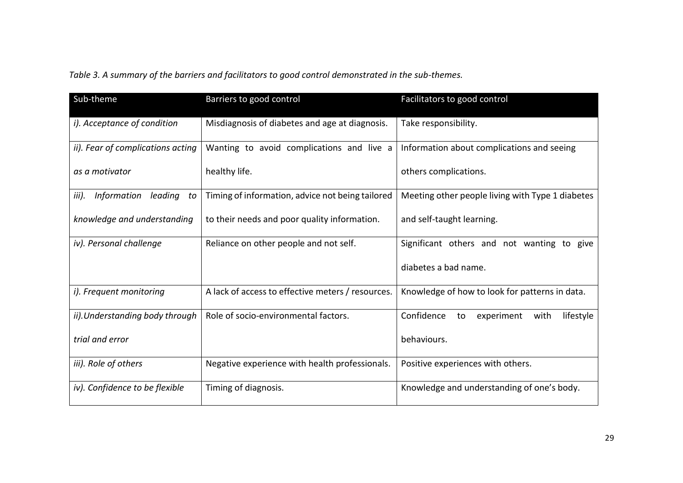*Table 3. A summary of the barriers and facilitators to good control demonstrated in the sub-themes.*

| Sub-theme                             | Barriers to good control                          | Facilitators to good control                        |
|---------------------------------------|---------------------------------------------------|-----------------------------------------------------|
| i). Acceptance of condition           | Misdiagnosis of diabetes and age at diagnosis.    | Take responsibility.                                |
| ii). Fear of complications acting     | Wanting to avoid complications and live a         | Information about complications and seeing          |
| as a motivator                        | healthy life.                                     | others complications.                               |
| leading<br>iii).<br>Information<br>to | Timing of information, advice not being tailored  | Meeting other people living with Type 1 diabetes    |
| knowledge and understanding           | to their needs and poor quality information.      | and self-taught learning.                           |
| iv). Personal challenge               | Reliance on other people and not self.            | Significant others and not wanting to give          |
|                                       |                                                   | diabetes a bad name.                                |
| i). Frequent monitoring               | A lack of access to effective meters / resources. | Knowledge of how to look for patterns in data.      |
| ii). Understanding body through       | Role of socio-environmental factors.              | Confidence<br>experiment<br>lifestyle<br>with<br>to |
| trial and error                       |                                                   | behaviours.                                         |
| iii). Role of others                  | Negative experience with health professionals.    | Positive experiences with others.                   |
| iv). Confidence to be flexible        | Timing of diagnosis.                              | Knowledge and understanding of one's body.          |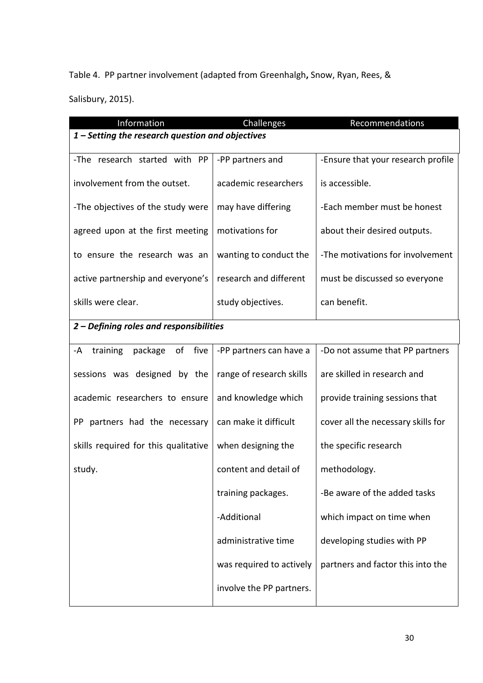Table 4. PP partner involvement (adapted from Greenhalgh**,** Snow, Ryan, Rees, &

Salisbury, 2015).

| Information                                      | Challenges               | Recommendations                    |
|--------------------------------------------------|--------------------------|------------------------------------|
| 1 - Setting the research question and objectives |                          |                                    |
|                                                  |                          |                                    |
| -The research started with PP                    | -PP partners and         | -Ensure that your research profile |
|                                                  |                          |                                    |
| involvement from the outset.                     | academic researchers     | is accessible.                     |
|                                                  |                          |                                    |
| -The objectives of the study were                | may have differing       | -Each member must be honest        |
|                                                  |                          |                                    |
| agreed upon at the first meeting                 | motivations for          | about their desired outputs.       |
|                                                  |                          |                                    |
| to ensure the research was an                    | wanting to conduct the   | -The motivations for involvement   |
|                                                  |                          |                                    |
| active partnership and everyone's                | research and different   | must be discussed so everyone      |
| skills were clear.                               | study objectives.        | can benefit.                       |
|                                                  |                          |                                    |
| 2 - Defining roles and responsibilities          |                          |                                    |
|                                                  |                          |                                    |
| five<br>of<br>training<br>package<br>-A          | -PP partners can have a  | -Do not assume that PP partners    |
|                                                  |                          |                                    |
| sessions was designed by the                     | range of research skills | are skilled in research and        |
|                                                  |                          |                                    |
| academic researchers to ensure                   | and knowledge which      | provide training sessions that     |
|                                                  |                          |                                    |
| PP partners had the necessary                    | can make it difficult    | cover all the necessary skills for |
|                                                  |                          |                                    |
| skills required for this qualitative             | when designing the       | the specific research              |
|                                                  |                          |                                    |
| study.                                           | content and detail of    | methodology.                       |
|                                                  |                          |                                    |
|                                                  | training packages.       | -Be aware of the added tasks       |
|                                                  |                          |                                    |
|                                                  | -Additional              | which impact on time when          |
|                                                  |                          |                                    |
|                                                  | administrative time      | developing studies with PP         |
|                                                  |                          |                                    |
|                                                  | was required to actively | partners and factor this into the  |
|                                                  |                          |                                    |
|                                                  | involve the PP partners. |                                    |
|                                                  |                          |                                    |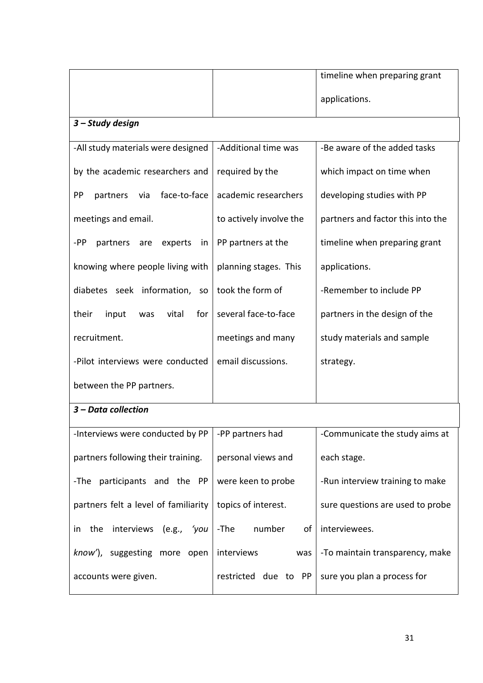|                                          |                         | timeline when preparing grant     |
|------------------------------------------|-------------------------|-----------------------------------|
|                                          |                         | applications.                     |
| 3 - Study design                         |                         |                                   |
| -All study materials were designed       | -Additional time was    | -Be aware of the added tasks      |
| by the academic researchers and          | required by the         | which impact on time when         |
| PP<br>face-to-face<br>partners<br>via    | academic researchers    | developing studies with PP        |
| meetings and email.                      | to actively involve the | partners and factor this into the |
| -PP<br>partners<br>experts<br>are<br>in. | PP partners at the      | timeline when preparing grant     |
| knowing where people living with         | planning stages. This   | applications.                     |
| diabetes seek information,<br><b>SO</b>  | took the form of        | -Remember to include PP           |
| their<br>vital<br>for<br>input<br>was    | several face-to-face    | partners in the design of the     |
| recruitment.                             | meetings and many       | study materials and sample        |
| -Pilot interviews were conducted         | email discussions.      | strategy.                         |
| between the PP partners.                 |                         |                                   |
| 3 - Data collection                      |                         |                                   |
| -Interviews were conducted by PP         | -PP partners had        | -Communicate the study aims at    |
| partners following their training.       | personal views and      | each stage.                       |
| participants and the PP<br>-The          | were keen to probe      | -Run interview training to make   |
| partners felt a level of familiarity     | topics of interest.     | sure questions are used to probe  |
| interviews<br>the<br>(e.g., 'you)<br>in. | -The<br>number<br>of    | interviewees.                     |
| know'), suggesting more open             | interviews<br>was       | -To maintain transparency, make   |
| accounts were given.                     | restricted due to PP    | sure you plan a process for       |